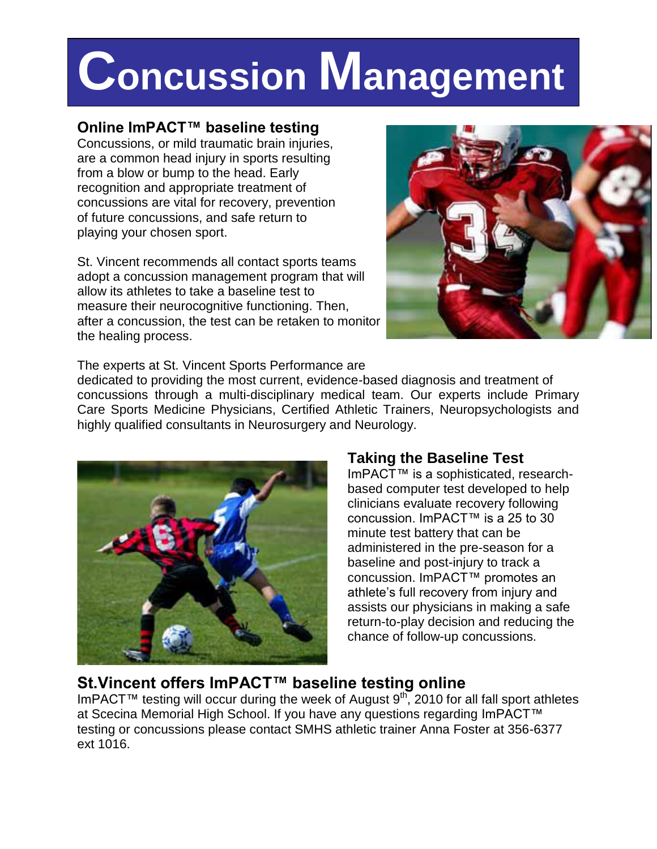# **Concussion Management**

## **Online ImPACT™ baseline testing**

Concussions, or mild traumatic brain injuries, are a common head injury in sports resulting from a blow or bump to the head. Early recognition and appropriate treatment of concussions are vital for recovery, prevention of future concussions, and safe return to playing your chosen sport.

St. Vincent recommends all contact sports teams adopt a concussion management program that will allow its athletes to take a baseline test to measure their neurocognitive functioning. Then, after a concussion, the test can be retaken to monitor the healing process.



The experts at St. Vincent Sports Performance are

dedicated to providing the most current, evidence-based diagnosis and treatment of concussions through a multi-disciplinary medical team. Our experts include Primary Care Sports Medicine Physicians, Certified Athletic Trainers, Neuropsychologists and highly qualified consultants in Neurosurgery and Neurology.



## **Taking the Baseline Test**

ImPACT™ is a sophisticated, researchbased computer test developed to help clinicians evaluate recovery following concussion. ImPACT™ is a 25 to 30 minute test battery that can be administered in the pre-season for a baseline and post-injury to track a concussion. ImPACT™ promotes an athlete's full recovery from injury and assists our physicians in making a safe return-to-play decision and reducing the chance of follow-up concussions.

# **St.Vincent offers ImPACT™ baseline testing online**

ImPACT™ testing will occur during the week of August 9<sup>th</sup>, 2010 for all fall sport athletes at Scecina Memorial High School. If you have any questions regarding ImPACT™ testing or concussions please contact SMHS athletic trainer Anna Foster at 356-6377 ext 1016.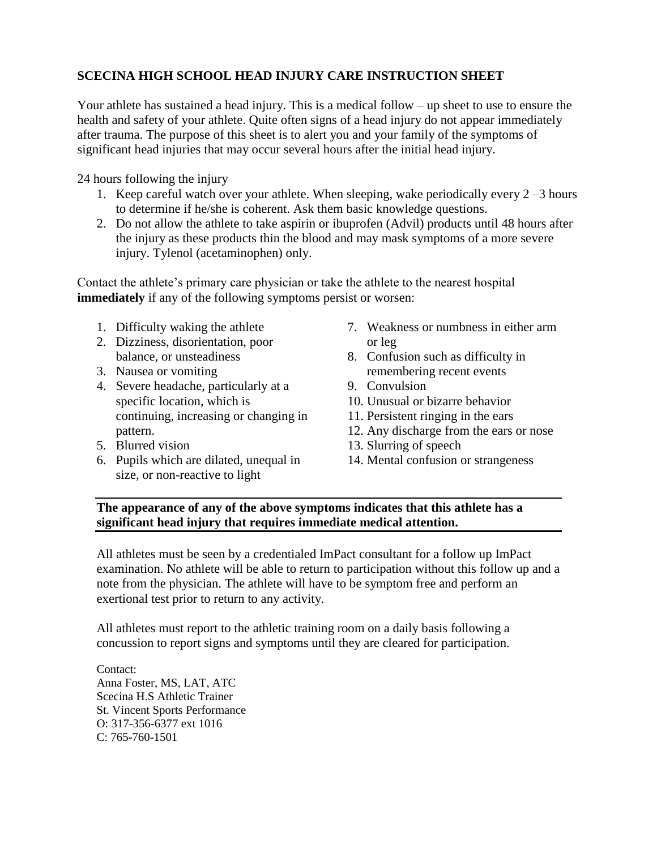### **SCECINA HIGH SCHOOL HEAD INJURY CARE INSTRUCTION SHEET**

Your athlete has sustained a head injury. This is a medical follow – up sheet to use to ensure the health and safety of your athlete. Quite often signs of a head injury do not appear immediately after trauma. The purpose of this sheet is to alert you and your family of the symptoms of significant head injuries that may occur several hours after the initial head injury.

24 hours following the injury

- 1. Keep careful watch over your athlete. When sleeping, wake periodically every 2 –3 hours to determine if he/she is coherent. Ask them basic knowledge questions.
- 2. Do not allow the athlete to take aspirin or ibuprofen (Advil) products until 48 hours after the injury as these products thin the blood and may mask symptoms of a more severe injury. Tylenol (acetaminophen) only.

Contact the athlete's primary care physician or take the athlete to the nearest hospital **immediately** if any of the following symptoms persist or worsen:

- 1. Difficulty waking the athlete
- 2. Dizziness, disorientation, poor balance, or unsteadiness
- 3. Nausea or vomiting
- 4. Severe headache, particularly at a specific location, which is continuing, increasing or changing in pattern.
- 5. Blurred vision
- 6. Pupils which are dilated, unequal in size, or non-reactive to light
- 7. Weakness or numbness in either arm or leg
- 8. Confusion such as difficulty in remembering recent events
- 9. Convulsion
- 10. Unusual or bizarre behavior
- 11. Persistent ringing in the ears
- 12. Any discharge from the ears or nose
- 13. Slurring of speech
- 14. Mental confusion or strangeness

#### **The appearance of any of the above symptoms indicates that this athlete has a significant head injury that requires immediate medical attention.**

All athletes must be seen by a credentialed ImPact consultant for a follow up ImPact examination. No athlete will be able to return to participation without this follow up and a note from the physician. The athlete will have to be symptom free and perform an exertional test prior to return to any activity.

All athletes must report to the athletic training room on a daily basis following a concussion to report signs and symptoms until they are cleared for participation.

Contact: Anna Foster, MS, LAT, ATC Scecina H.S Athletic Trainer St. Vincent Sports Performance O: 317-356-6377 ext 1016 C: 765-760-1501